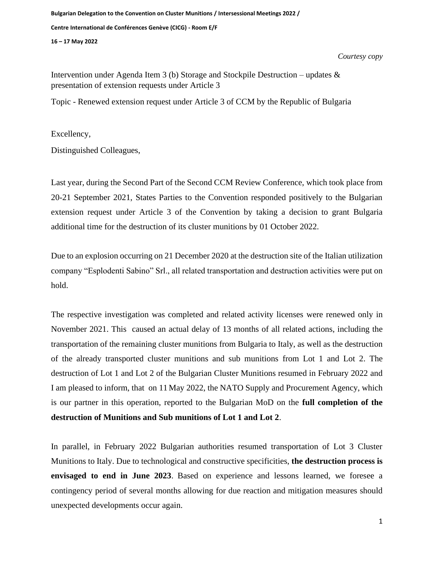**Bulgarian Delegation to the Convention on Cluster Munitions / Intersessional Meetings 2022 / Centre International de Conférences Genève (CICG) - Room E/F 16 – 17 May 2022**

*Courtesy copy*

Intervention under Agenda Item 3 (b) Storage and Stockpile Destruction – updates  $\&$ presentation of extension requests under Article 3

Topic - Renewed extension request under Article 3 of CCM by the Republic of Bulgaria

Excellency,

Distinguished Colleagues,

Last year, during the Second Part of the Second CCM Review Conference, which took place from 20-21 September 2021, States Parties to the Convention responded positively to the Bulgarian extension request under Article 3 of the Convention by taking a decision to grant Bulgaria additional time for the destruction of its cluster munitions by 01 October 2022.

Due to an explosion occurring on 21 December 2020 at the destruction site of the Italian utilization company "Esplodenti Sabino" Srl., all related transportation and destruction activities were put on hold.

The respective investigation was completed and related activity licenses were renewed only in November 2021. This caused an actual delay of 13 months of all related actions, including the transportation of the remaining cluster munitions from Bulgaria to Italy, as well as the destruction of the already transported cluster munitions and sub munitions from Lot 1 and Lot 2. The destruction of Lot 1 and Lot 2 of the Bulgarian Cluster Munitions resumed in February 2022 and I am pleased to inform, that on 11 May 2022, the NATO Supply and Procurement Agency, which is our partner in this operation, reported to the Bulgarian MoD on the **full completion of the destruction of Munitions and Sub munitions of Lot 1 and Lot 2**.

In parallel, in February 2022 Bulgarian authorities resumed transportation of Lot 3 Cluster Munitions to Italy. Due to technological and constructive specificities, **the destruction process is envisaged to end in June 2023**. Based on experience and lessons learned, we foresee a contingency period of several months allowing for due reaction and mitigation measures should unexpected developments occur again.